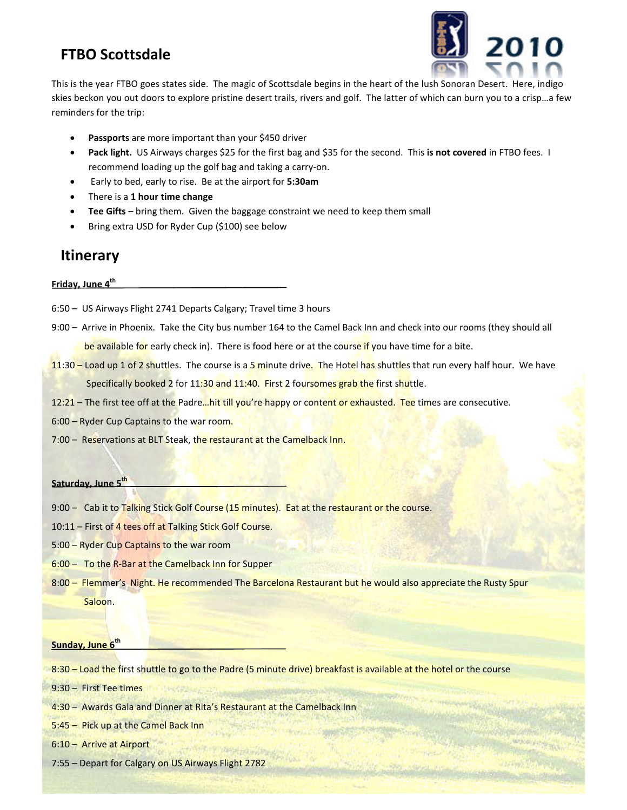### **FTBO Scottsdale**



This is the year FTBO goes states side. The magic of Scottsdale begins in the heart of the lush Sonoran skies beckon you out doors to explore pristine desert trails, rivers and golf. The latter of which can burn you to a crisp…a few<br>
reminders for the trip:<br>
• Passports are more important than your \$450 driver<br>
• Pack light. reminders for the trip: the year FTDD (post states also. The map Co's Societiste Begins in the heart of the lund showed a best means of the course. Here, indigo<br>selator you and doors to apple pristine desert traits, fivers and got! The latter of

- **Passports** are more important than your \$450 driver
- Pack light. US Airways charges \$25 for the first bag and \$35 for the second. This is not covered in FTBO fees. I recommend loading up the golf bag and taking a carry-on.
- **Early to bed, early to rise. Be at the airport for 5:30am**
- There is a **1 hour time change**
- **Tee Gifts** bring them. Given the baggage constraint we need to keep them small<br>• Bring extra USD for Ryder Cup (\$100) see below
- Bring extra USD for Ryder Cup (\$100) see below

### **Itinerary**

**Friday, June 4th** 

- 6:50 US Airways Flight 2741 Departs Calgary; Travel time 3 hours
- 9:00 Arrive in Phoenix. Take the City bus number 164 to the Camel Back Inn and check into our rooms (they should all be available for early check in). There is food here or at the course if you have time for a bite. nix. Take the City bus number 164 to the Camel Back Inn and check into our roo<br>or early check in). There is food here or at the course if you have time for a bite.<br>2 shuttles. The course is a 5 minute drive. The Hotel has
- 11:30 Load up 1 of 2 shuttles. The course is a 5 minute drive. The Hotel has shuttles that run every h Specifically booked 2 for 11:30 and 11:40. First 2 foursomes grab the first shuttle. half hour. We have
- 12:21 The first tee off at the Padre...hit till you're happy or content or exhausted. Tee times are consecutive.
- 6:00 Ryder Cup Captains to the war room.
- 7:00 Reservations at BLT Steak, the restaurant at the Camelback Inn.

#### **Saturday, June 5th**

- 9:00 Reservations at BLT Steak, the restaurant at the Camelback Inn.<br>
Saturday, June 5<sup>th</sup><br>
9:00 Cab it to Talking Stick Golf Course (15 minutes). Eat at the restaurant or the course.
- 
- 5:00 Ryder Cup Captains to the war room
- 10:11 First of 4 tees off at Talking Stick Golf Course.<br>5:00 Ryder Cup Captains to the war room<br>6:00 To the R-Bar at the Camelback Inn for Supper 6:00 – To the R-Bar at the Camelback Inn for Supper
- 8:00 Flemmer's Night. He recommended The Barcelona Restaurant but he would also appreciate the Rusty Spur Saloon.

### **Sunday, June 6th**

8:30 – Load the first shuttle to go to the Padre (5 minute drive) breakfast is available at the hotel or the course

9:30 – First Tee times

4:30 – Awards Gala and Dinner at Rita's Restaurant at the Camelback Inn

5:45 – Pick up at the Camel Back Inn

- 6:10 Arrive at Airport
- 7:55 Depart for Calgary on US Airways Flight 2782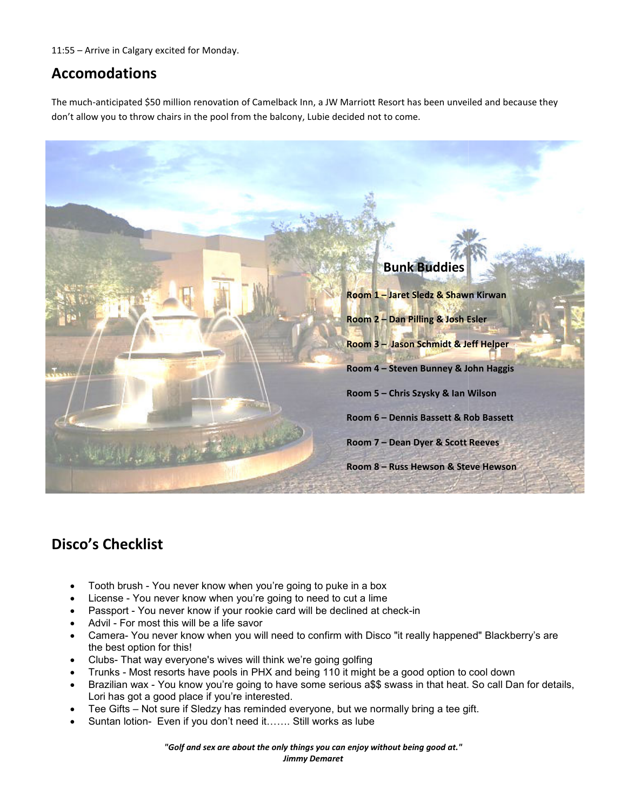11:55 – Arrive in Calgary excited for Monday. Monday.

### **Accomodations**

The much-anticipated \$50 million renovation of Camelback Inn, a JW Marriott Resort has been unveiled and because they don't allow you to throw chairs in the pool from the balcony, Lubie decided not to come.



## **Disco's Checklist**

- Tooth brush You never know when you're going to puke in a box
- License You never know when you're going to need to cut a lime
- License You never know when you're going to need to cut a lime<br>• Passport You never know if your rookie card will be declined at check-in
- Advil For most this will be a life savor
- Camera- You never know when you will need to confirm with Disco "it really happened" Blackberry's are the best option for this! this will be a life savor<br>ver know when you will need to confirm with Di<br>or this!<br>everyone's wives will think we're going golfing
- Clubs- That way everyone's wives will think we're going golfing
- Trunks Most resorts have pools in PHX and being 110 it might be a good option to cool down
- Brazilian wax You know you're going to have some serious a\$\$ swass in that heat. So call Dan for details, Lori has got a good place if you're interested. Trunks - Most resorts have pools in PHX and being 110 it might be a good option to cool down<br>Brazilian wax - You know you're going to have some serious a\$\$ swass in that heat. So call Dan for details,<br>Lori has got a good p
- Tee Gifts Not sure if Sledzy has reminded everyone, but we normally bring a tee gift.
- Suntan lotion- Even if you don't need it……. Still works as lube

*"Golf and sex are about the only things you can enjoy without being good at." "Golf are things you can enjoy Jimmy Demaret*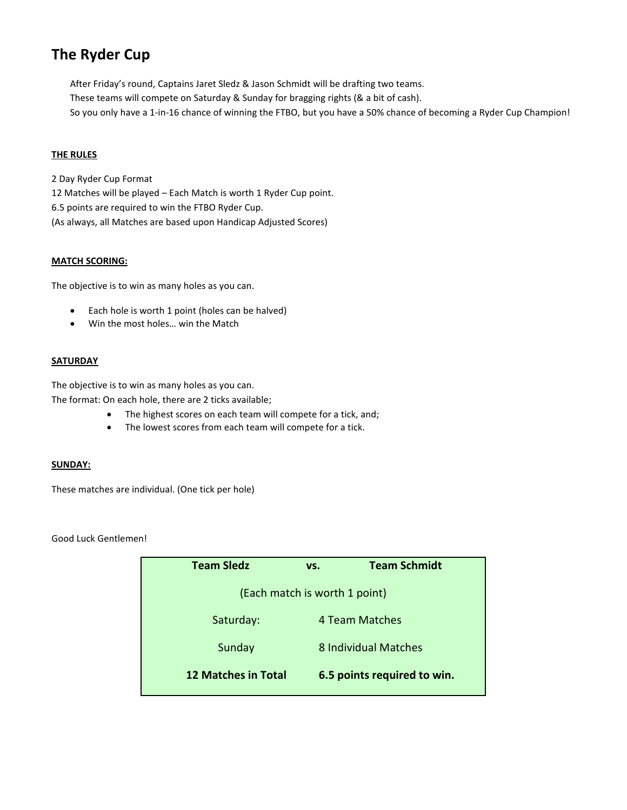## **The Ryder Cup**

After Friday's round, Captains Jaret Sledz & Jason Schmidt will be drafting two teams. These teams will compete on Saturday & Sunday for bragging rights (& a bit of cash). So you only have a 1-in-16 chance of winning the FTBO, but you have a 50% chance of becoming a Ryder Cup Champion!

### **THE RULES**

2 Day Ryder Cup Format 12 Matches will be played – Each Match is worth 1 Ryder Cup point. 6.5 points are required to win the FTBO Ryder Cup. (As always, all Matches are based upon Handicap Adjusted Scores)

#### **MATCH SCORING:**

The objective is to win as many holes as you can.

- Each hole is worth 1 point (holes can be halved)
- Win the most holes… win the Match

### **SATURDAY**

The objective is to win as many holes as you can. The format: On each hole, there are 2 ticks available;

- The highest scores on each team will compete for a tick, and;
- The lowest scores from each team will compete for a tick.

#### **SUNDAY:**

These matches are individual. (One tick per hole)

Good Luck Gentlemen!

| <b>Team Sledz</b>             | VS. | <b>Team Schmidt</b>         |  |  |
|-------------------------------|-----|-----------------------------|--|--|
| (Each match is worth 1 point) |     |                             |  |  |
| Saturday:                     |     | 4 Team Matches              |  |  |
| Sunday                        |     | 8 Individual Matches        |  |  |
| <b>12 Matches in Total</b>    |     | 6.5 points required to win. |  |  |